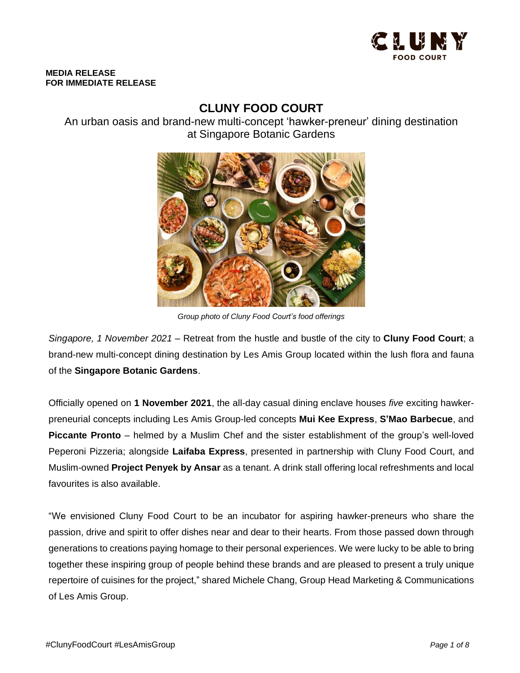

#### **MEDIA RELEASE FOR IMMEDIATE RELEASE**

# **CLUNY FOOD COURT**

An urban oasis and brand-new multi-concept 'hawker-preneur' dining destination at Singapore Botanic Gardens



*Group photo of Cluny Food Court's food offerings*

*Singapore, 1 November 2021* – Retreat from the hustle and bustle of the city to **Cluny Food Court**; a brand-new multi-concept dining destination by Les Amis Group located within the lush flora and fauna of the **Singapore Botanic Gardens**.

Officially opened on **1 November 2021**, the all-day casual dining enclave houses *five* exciting hawkerpreneurial concepts including Les Amis Group-led concepts **Mui Kee Express**, **S'Mao Barbecue**, and **Piccante Pronto** – helmed by a Muslim Chef and the sister establishment of the group's well-loved Peperoni Pizzeria; alongside **Laifaba Express**, presented in partnership with Cluny Food Court, and Muslim-owned **Project Penyek by Ansar** as a tenant. A drink stall offering local refreshments and local favourites is also available.

"We envisioned Cluny Food Court to be an incubator for aspiring hawker-preneurs who share the passion, drive and spirit to offer dishes near and dear to their hearts. From those passed down through generations to creations paying homage to their personal experiences. We were lucky to be able to bring together these inspiring group of people behind these brands and are pleased to present a truly unique repertoire of cuisines for the project," shared Michele Chang, Group Head Marketing & Communications of Les Amis Group.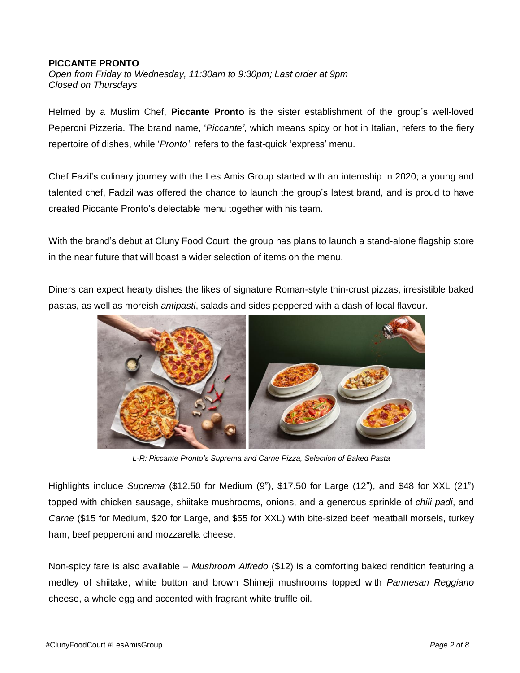# **PICCANTE PRONTO**

*Open from Friday to Wednesday, 11:30am to 9:30pm; Last order at 9pm Closed on Thursdays*

Helmed by a Muslim Chef, **Piccante Pronto** is the sister establishment of the group's well-loved Peperoni Pizzeria. The brand name, '*Piccante'*, which means spicy or hot in Italian, refers to the fiery repertoire of dishes, while '*Pronto'*, refers to the fast-quick 'express' menu.

Chef Fazil's culinary journey with the Les Amis Group started with an internship in 2020; a young and talented chef, Fadzil was offered the chance to launch the group's latest brand, and is proud to have created Piccante Pronto's delectable menu together with his team.

With the brand's debut at Cluny Food Court, the group has plans to launch a stand-alone flagship store in the near future that will boast a wider selection of items on the menu.

Diners can expect hearty dishes the likes of signature Roman-style thin-crust pizzas, irresistible baked pastas, as well as moreish *antipasti*, salads and sides peppered with a dash of local flavour.



*L-R: Piccante Pronto's Suprema and Carne Pizza, Selection of Baked Pasta*

Highlights include *Suprema* (\$12.50 for Medium (9"), \$17.50 for Large (12"), and \$48 for XXL (21") topped with chicken sausage, shiitake mushrooms, onions, and a generous sprinkle of *chili padi*, and *Carne* (\$15 for Medium, \$20 for Large, and \$55 for XXL) with bite-sized beef meatball morsels, turkey ham, beef pepperoni and mozzarella cheese.

Non-spicy fare is also available – *Mushroom Alfredo* (\$12) is a comforting baked rendition featuring a medley of shiitake, white button and brown Shimeji mushrooms topped with *Parmesan Reggiano* cheese, a whole egg and accented with fragrant white truffle oil.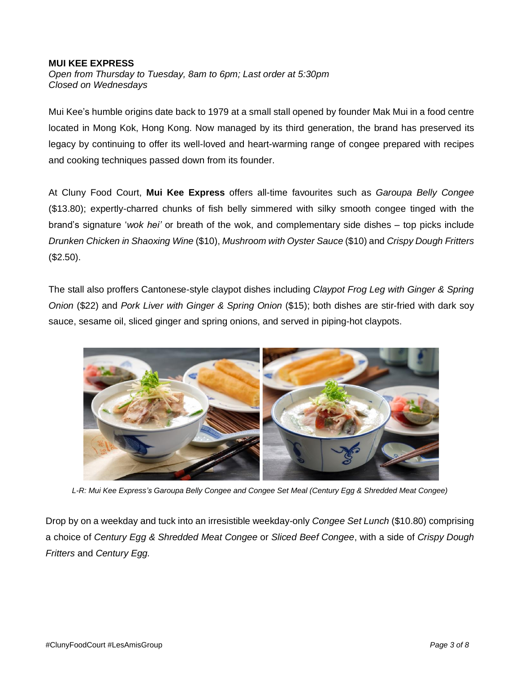### **MUI KEE EXPRESS**

*Open from Thursday to Tuesday, 8am to 6pm; Last order at 5:30pm Closed on Wednesdays*

Mui Kee's humble origins date back to 1979 at a small stall opened by founder Mak Mui in a food centre located in Mong Kok, Hong Kong. Now managed by its third generation, the brand has preserved its legacy by continuing to offer its well-loved and heart-warming range of congee prepared with recipes and cooking techniques passed down from its founder.

At Cluny Food Court, **Mui Kee Express** offers all-time favourites such as *Garoupa Belly Congee* (\$13.80); expertly-charred chunks of fish belly simmered with silky smooth congee tinged with the brand's signature '*wok hei'* or breath of the wok, and complementary side dishes – top picks include *Drunken Chicken in Shaoxing Wine* (\$10), *Mushroom with Oyster Sauce* (\$10) and *Crispy Dough Fritters* (\$2.50).

The stall also proffers Cantonese-style claypot dishes including *Claypot Frog Leg with Ginger & Spring Onion* (\$22) and *Pork Liver with Ginger & Spring Onion* (\$15); both dishes are stir-fried with dark soy sauce, sesame oil, sliced ginger and spring onions, and served in piping-hot claypots.



*L-R: Mui Kee Express's Garoupa Belly Congee and Congee Set Meal (Century Egg & Shredded Meat Congee)*

Drop by on a weekday and tuck into an irresistible weekday-only *Congee Set Lunch* (\$10.80) comprising a choice of *Century Egg & Shredded Meat Congee* or *Sliced Beef Congee*, with a side of *Crispy Dough Fritters* and *Century Egg.*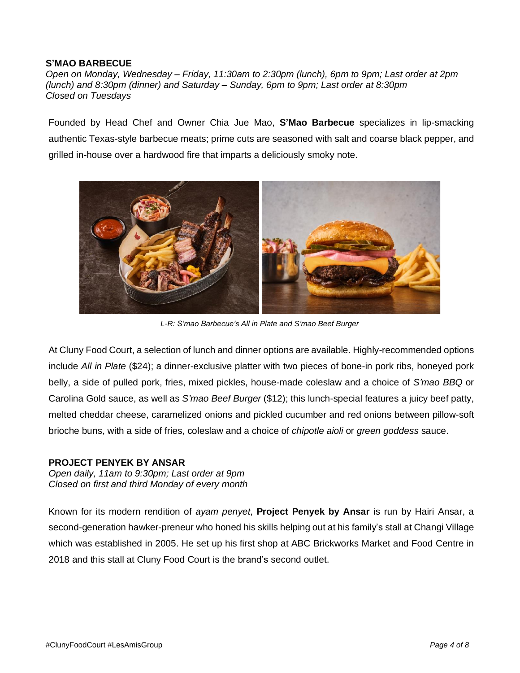# **S'MAO BARBECUE**

*Open on Monday, Wednesday – Friday, 11:30am to 2:30pm (lunch), 6pm to 9pm; Last order at 2pm (lunch) and 8:30pm (dinner) and Saturday – Sunday, 6pm to 9pm; Last order at 8:30pm Closed on Tuesdays*

Founded by Head Chef and Owner Chia Jue Mao, **S'Mao Barbecue** specializes in lip-smacking authentic Texas-style barbecue meats; prime cuts are seasoned with salt and coarse black pepper, and grilled in-house over a hardwood fire that imparts a deliciously smoky note.



*L-R: S'mao Barbecue's All in Plate and S'mao Beef Burger*

At Cluny Food Court, a selection of lunch and dinner options are available. Highly-recommended options include *All in Plate* (\$24); a dinner-exclusive platter with two pieces of bone-in pork ribs, honeyed pork belly, a side of pulled pork, fries, mixed pickles, house-made coleslaw and a choice of *S'mao BBQ* or Carolina Gold sauce, as well as *S'mao Beef Burger* (\$12); this lunch-special features a juicy beef patty, melted cheddar cheese, caramelized onions and pickled cucumber and red onions between pillow-soft brioche buns, with a side of fries, coleslaw and a choice of *chipotle aioli* or *green goddess* sauce.

#### **PROJECT PENYEK BY ANSAR**

*Open daily, 11am to 9:30pm; Last order at 9pm Closed on first and third Monday of every month*

Known for its modern rendition of *ayam penyet*, **Project Penyek by Ansar** is run by Hairi Ansar, a second-generation hawker-preneur who honed his skills helping out at his family's stall at Changi Village which was established in 2005. He set up his first shop at ABC Brickworks Market and Food Centre in 2018 and this stall at Cluny Food Court is the brand's second outlet.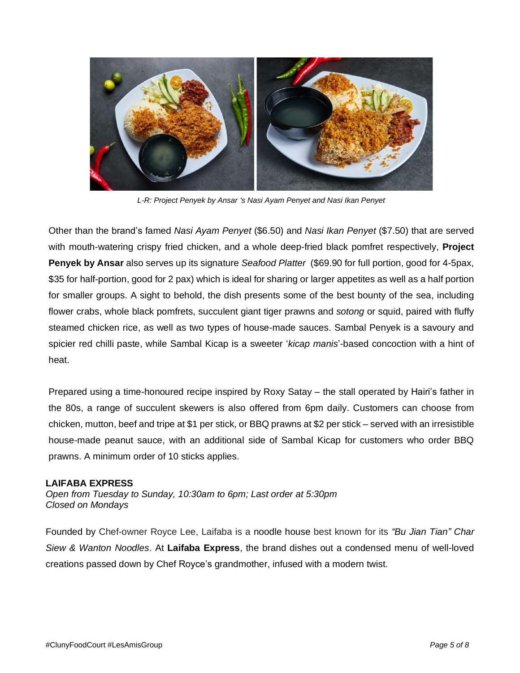

*L-R: Project Penyek by Ansar 's Nasi Ayam Penyet and Nasi Ikan Penyet*

Other than the brand's famed *Nasi Ayam Penyet* (\$6.50) and *Nasi Ikan Penyet* (\$7.50) that are served with mouth-watering crispy fried chicken, and a whole deep-fried black pomfret respectively, **Project Penyek by Ansar** also serves up its signature *Seafood Platter* (\$69.90 for full portion, good for 4-5pax, \$35 for half-portion, good for 2 pax) which is ideal for sharing or larger appetites as well as a half portion for smaller groups. A sight to behold, the dish presents some of the best bounty of the sea, including flower crabs, whole black pomfrets, succulent giant tiger prawns and *sotong* or squid, paired with fluffy steamed chicken rice, as well as two types of house-made sauces. Sambal Penyek is a savoury and spicier red chilli paste, while Sambal Kicap is a sweeter '*kicap manis*'-based concoction with a hint of heat.

Prepared using a time-honoured recipe inspired by Roxy Satay – the stall operated by Hairi's father in the 80s, a range of succulent skewers is also offered from 6pm daily. Customers can choose from chicken, mutton, beef and tripe at \$1 per stick, or BBQ prawns at \$2 per stick – served with an irresistible house-made peanut sauce, with an additional side of Sambal Kicap for customers who order BBQ prawns. A minimum order of 10 sticks applies.

# **LAIFABA EXPRESS**

*Open from Tuesday to Sunday, 10:30am to 6pm; Last order at 5:30pm Closed on Mondays*

Founded by Chef-owner Royce Lee, Laifaba is a noodle house best known for its *"Bu Jian Tian" Char Siew & Wanton Noodles*. At **Laifaba Express**, the brand dishes out a condensed menu of well-loved creations passed down by Chef Royce's grandmother, infused with a modern twist.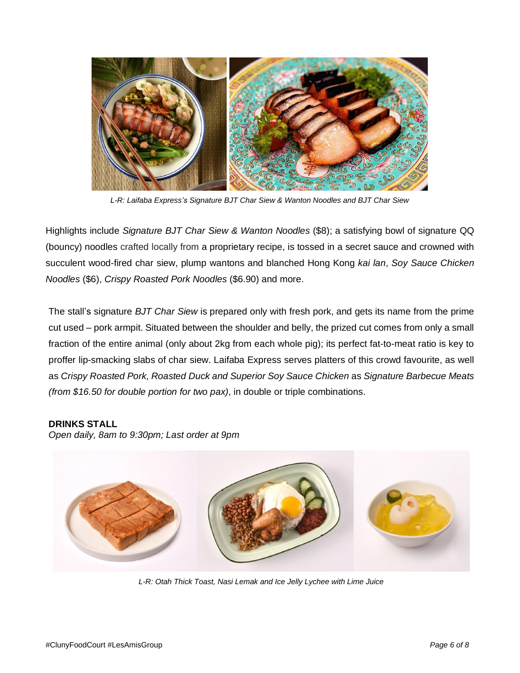

*L-R: Laifaba Express's Signature BJT Char Siew & Wanton Noodles and BJT Char Siew*

Highlights include *Signature BJT Char Siew & Wanton Noodles* (\$8); a satisfying bowl of signature QQ (bouncy) noodles crafted locally from a proprietary recipe, is tossed in a secret sauce and crowned with succulent wood-fired char siew, plump wantons and blanched Hong Kong *kai lan*, *Soy Sauce Chicken Noodles* (\$6), *Crispy Roasted Pork Noodles* (\$6.90) and more.

The stall's signature *BJT Char Siew* is prepared only with fresh pork, and gets its name from the prime cut used – pork armpit. Situated between the shoulder and belly, the prized cut comes from only a small fraction of the entire animal (only about 2kg from each whole pig); its perfect fat-to-meat ratio is key to proffer lip-smacking slabs of char siew. Laifaba Express serves platters of this crowd favourite, as well as *Crispy Roasted Pork, Roasted Duck and Superior Soy Sauce Chicken* as *Signature Barbecue Meats (from \$16.50 for double portion for two pax)*, in double or triple combinations.

# **DRINKS STALL**

*Open daily, 8am to 9:30pm; Last order at 9pm*



*L-R: Otah Thick Toast, Nasi Lemak and Ice Jelly Lychee with Lime Juice*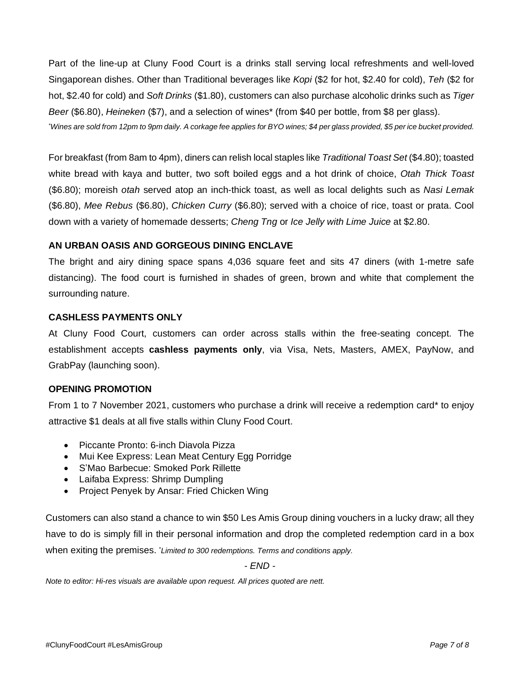Part of the line-up at Cluny Food Court is a drinks stall serving local refreshments and well-loved Singaporean dishes. Other than Traditional beverages like *Kopi* (\$2 for hot, \$2.40 for cold), *Teh* (\$2 for hot, \$2.40 for cold) and *Soft Drinks* (\$1.80), customers can also purchase alcoholic drinks such as *Tiger Beer* (\$6.80), *Heineken* (\$7), and a selection of wines\* (from \$40 per bottle, from \$8 per glass). \*Wines are sold from 12pm to 9pm daily. A corkage fee applies for BYO wines; \$4 per glass provided, \$5 per ice bucket provided.

For breakfast (from 8am to 4pm), diners can relish local staples like *Traditional Toast Set* (\$4.80); toasted white bread with kaya and butter, two soft boiled eggs and a hot drink of choice, *Otah Thick Toast* (\$6.80); moreish *otah* served atop an inch-thick toast, as well as local delights such as *Nasi Lemak* (\$6.80), *Mee Rebus* (\$6.80), *Chicken Curry* (\$6.80); served with a choice of rice, toast or prata. Cool down with a variety of homemade desserts; *Cheng Tng* or *Ice Jelly with Lime Juice* at \$2.80.

# **AN URBAN OASIS AND GORGEOUS DINING ENCLAVE**

The bright and airy dining space spans 4,036 square feet and sits 47 diners (with 1-metre safe distancing). The food court is furnished in shades of green, brown and white that complement the surrounding nature.

# **CASHLESS PAYMENTS ONLY**

At Cluny Food Court, customers can order across stalls within the free-seating concept. The establishment accepts **cashless payments only**, via Visa, Nets, Masters, AMEX, PayNow, and GrabPay (launching soon).

#### **OPENING PROMOTION**

From 1 to 7 November 2021, customers who purchase a drink will receive a redemption card\* to enjoy attractive \$1 deals at all five stalls within Cluny Food Court.

- Piccante Pronto: 6-inch Diavola Pizza
- Mui Kee Express: Lean Meat Century Egg Porridge
- S'Mao Barbecue: Smoked Pork Rillette
- Laifaba Express: Shrimp Dumpling
- Project Penyek by Ansar: Fried Chicken Wing

Customers can also stand a chance to win \$50 Les Amis Group dining vouchers in a lucky draw; all they have to do is simply fill in their personal information and drop the completed redemption card in a box when exiting the premises. \**Limited to 300 redemptions. Terms and conditions apply.*

*- END -*

*Note to editor: Hi-res visuals are available upon request. All prices quoted are nett.*